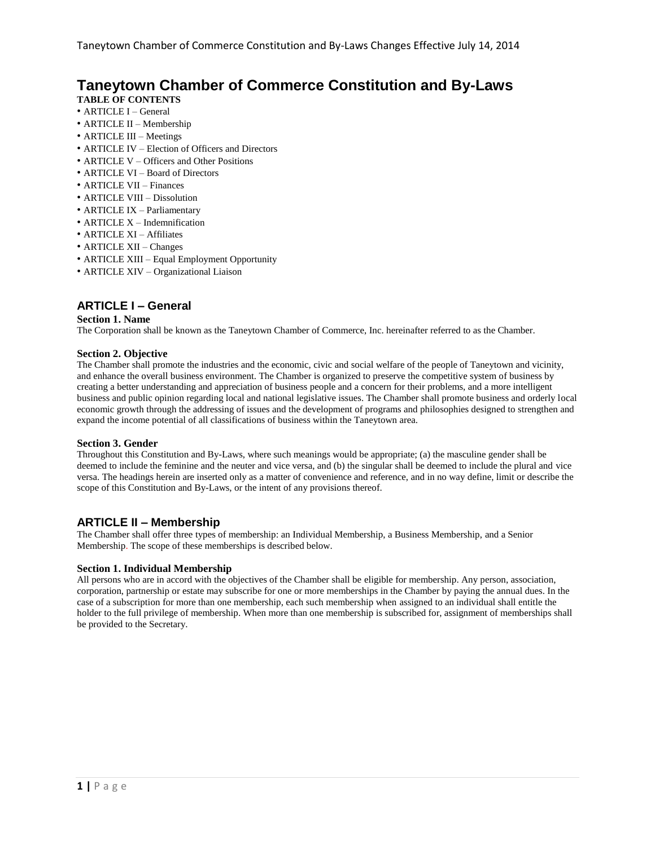# **Taneytown Chamber of Commerce Constitution and By-Laws**

## **TABLE OF CONTENTS**

- ARTICLE I General
- ARTICLE II Membership
- ARTICLE III Meetings
- ARTICLE IV Election of Officers and Directors
- ARTICLE V Officers and Other Positions
- ARTICLE VI Board of Directors
- ARTICLE VII Finances
- ARTICLE VIII Dissolution
- ARTICLE IX Parliamentary
- ARTICLE X Indemnification
- ARTICLE XI Affiliates
- ARTICLE XII Changes
- ARTICLE XIII Equal Employment Opportunity
- ARTICLE XIV Organizational Liaison

## **ARTICLE I – General**

### **Section 1. Name**

The Corporation shall be known as the Taneytown Chamber of Commerce, Inc. hereinafter referred to as the Chamber.

## **Section 2. Objective**

The Chamber shall promote the industries and the economic, civic and social welfare of the people of Taneytown and vicinity, and enhance the overall business environment. The Chamber is organized to preserve the competitive system of business by creating a better understanding and appreciation of business people and a concern for their problems, and a more intelligent business and public opinion regarding local and national legislative issues. The Chamber shall promote business and orderly local economic growth through the addressing of issues and the development of programs and philosophies designed to strengthen and expand the income potential of all classifications of business within the Taneytown area.

#### **Section 3. Gender**

Throughout this Constitution and By-Laws, where such meanings would be appropriate; (a) the masculine gender shall be deemed to include the feminine and the neuter and vice versa, and (b) the singular shall be deemed to include the plural and vice versa. The headings herein are inserted only as a matter of convenience and reference, and in no way define, limit or describe the scope of this Constitution and By-Laws, or the intent of any provisions thereof.

## **ARTICLE II – Membership**

The Chamber shall offer three types of membership: an Individual Membership, a Business Membership, and a Senior Membership. The scope of these memberships is described below.

## **Section 1. Individual Membership**

All persons who are in accord with the objectives of the Chamber shall be eligible for membership. Any person, association, corporation, partnership or estate may subscribe for one or more memberships in the Chamber by paying the annual dues. In the case of a subscription for more than one membership, each such membership when assigned to an individual shall entitle the holder to the full privilege of membership. When more than one membership is subscribed for, assignment of memberships shall be provided to the Secretary.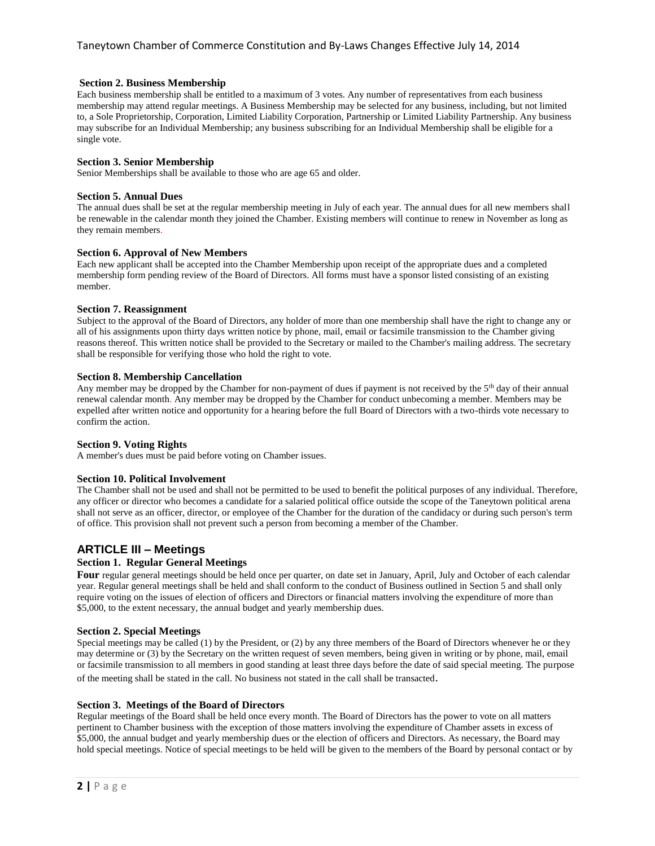### **Section 2. Business Membership**

Each business membership shall be entitled to a maximum of 3 votes. Any number of representatives from each business membership may attend regular meetings. A Business Membership may be selected for any business, including, but not limited to, a Sole Proprietorship, Corporation, Limited Liability Corporation, Partnership or Limited Liability Partnership. Any business may subscribe for an Individual Membership; any business subscribing for an Individual Membership shall be eligible for a single vote.

### **Section 3. Senior Membership**

Senior Memberships shall be available to those who are age 65 and older.

#### **Section 5. Annual Dues**

The annual dues shall be set at the regular membership meeting in July of each year. The annual dues for all new members shall be renewable in the calendar month they joined the Chamber. Existing members will continue to renew in November as long as they remain members.

### **Section 6. Approval of New Members**

Each new applicant shall be accepted into the Chamber Membership upon receipt of the appropriate dues and a completed membership form pending review of the Board of Directors. All forms must have a sponsor listed consisting of an existing member.

#### **Section 7. Reassignment**

Subject to the approval of the Board of Directors, any holder of more than one membership shall have the right to change any or all of his assignments upon thirty days written notice by phone, mail, email or facsimile transmission to the Chamber giving reasons thereof. This written notice shall be provided to the Secretary or mailed to the Chamber's mailing address. The secretary shall be responsible for verifying those who hold the right to vote.

### **Section 8. Membership Cancellation**

Any member may be dropped by the Chamber for non-payment of dues if payment is not received by the 5<sup>th</sup> day of their annual renewal calendar month. Any member may be dropped by the Chamber for conduct unbecoming a member. Members may be expelled after written notice and opportunity for a hearing before the full Board of Directors with a two-thirds vote necessary to confirm the action.

#### **Section 9. Voting Rights**

A member's dues must be paid before voting on Chamber issues.

#### **Section 10. Political Involvement**

The Chamber shall not be used and shall not be permitted to be used to benefit the political purposes of any individual. Therefore, any officer or director who becomes a candidate for a salaried political office outside the scope of the Taneytown political arena shall not serve as an officer, director, or employee of the Chamber for the duration of the candidacy or during such person's term of office. This provision shall not prevent such a person from becoming a member of the Chamber.

## **ARTICLE III – Meetings**

## **Section 1. Regular General Meetings**

**Four** regular general meetings should be held once per quarter, on date set in January, April, July and October of each calendar year. Regular general meetings shall be held and shall conform to the conduct of Business outlined in Section 5 and shall only require voting on the issues of election of officers and Directors or financial matters involving the expenditure of more than \$5,000, to the extent necessary, the annual budget and yearly membership dues.

#### **Section 2. Special Meetings**

Special meetings may be called (1) by the President, or (2) by any three members of the Board of Directors whenever he or they may determine or (3) by the Secretary on the written request of seven members, being given in writing or by phone, mail, email or facsimile transmission to all members in good standing at least three days before the date of said special meeting. The purpose of the meeting shall be stated in the call. No business not stated in the call shall be transacted.

#### **Section 3. Meetings of the Board of Directors**

Regular meetings of the Board shall be held once every month. The Board of Directors has the power to vote on all matters pertinent to Chamber business with the exception of those matters involving the expenditure of Chamber assets in excess of \$5,000, the annual budget and yearly membership dues or the election of officers and Directors. As necessary, the Board may hold special meetings. Notice of special meetings to be held will be given to the members of the Board by personal contact or by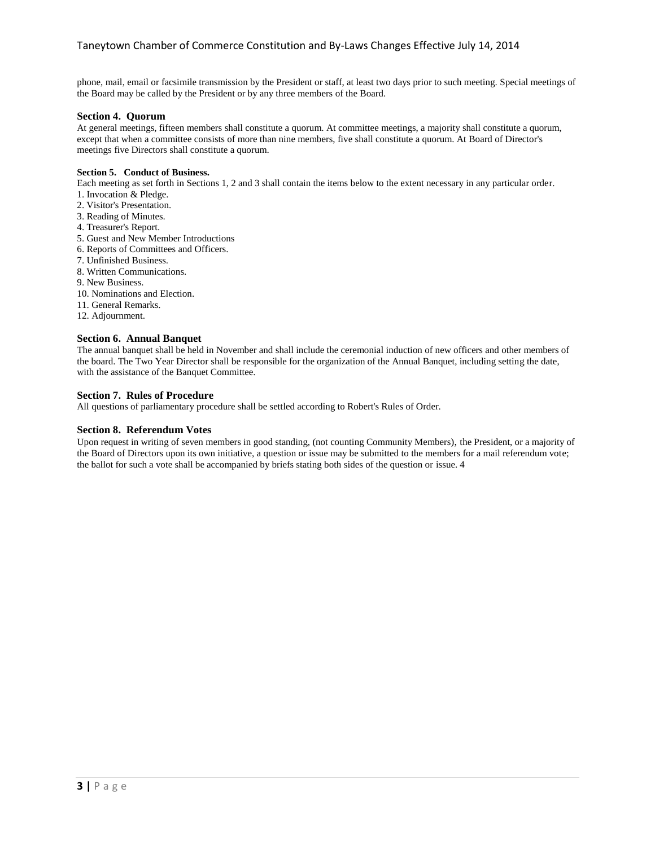phone, mail, email or facsimile transmission by the President or staff, at least two days prior to such meeting. Special meetings of the Board may be called by the President or by any three members of the Board.

#### **Section 4. Quorum**

At general meetings, fifteen members shall constitute a quorum. At committee meetings, a majority shall constitute a quorum, except that when a committee consists of more than nine members, five shall constitute a quorum. At Board of Director's meetings five Directors shall constitute a quorum.

#### **Section 5. Conduct of Business.**

Each meeting as set forth in Sections 1, 2 and 3 shall contain the items below to the extent necessary in any particular order.

- 1. Invocation & Pledge.
- 2. Visitor's Presentation.
- 3. Reading of Minutes.
- 4. Treasurer's Report.
- 5. Guest and New Member Introductions
- 6. Reports of Committees and Officers.
- 7. Unfinished Business.
- 8. Written Communications.
- 9. New Business.
- 10. Nominations and Election.
- 11. General Remarks.
- 12. Adjournment.

## **Section 6. Annual Banquet**

The annual banquet shall be held in November and shall include the ceremonial induction of new officers and other members of the board. The Two Year Director shall be responsible for the organization of the Annual Banquet, including setting the date, with the assistance of the Banquet Committee.

### **Section 7. Rules of Procedure**

All questions of parliamentary procedure shall be settled according to Robert's Rules of Order.

#### **Section 8. Referendum Votes**

Upon request in writing of seven members in good standing, (not counting Community Members), the President, or a majority of the Board of Directors upon its own initiative, a question or issue may be submitted to the members for a mail referendum vote; the ballot for such a vote shall be accompanied by briefs stating both sides of the question or issue. 4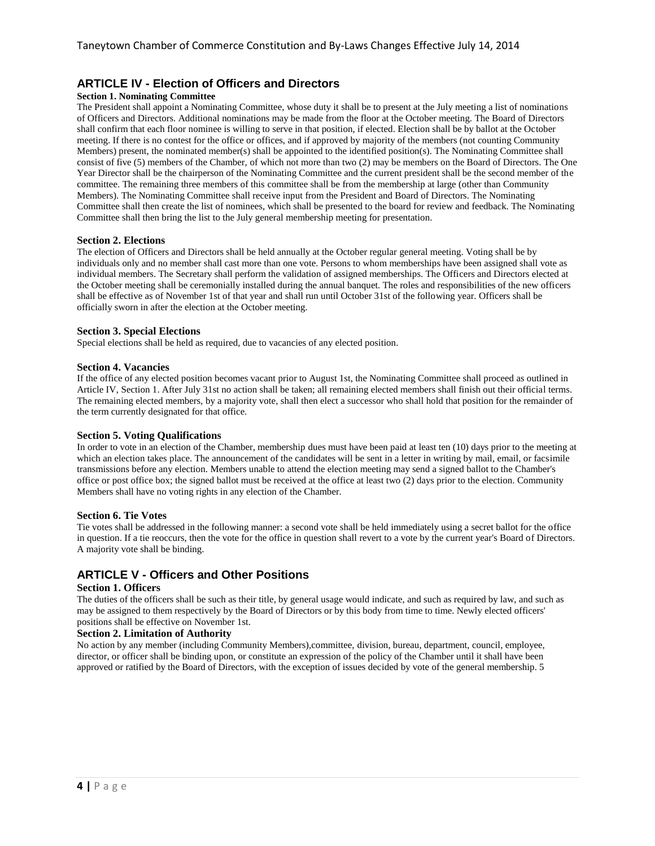## **ARTICLE IV - Election of Officers and Directors**

#### **Section 1. Nominating Committee**

The President shall appoint a Nominating Committee, whose duty it shall be to present at the July meeting a list of nominations of Officers and Directors. Additional nominations may be made from the floor at the October meeting. The Board of Directors shall confirm that each floor nominee is willing to serve in that position, if elected. Election shall be by ballot at the October meeting. If there is no contest for the office or offices, and if approved by majority of the members (not counting Community Members) present, the nominated member(s) shall be appointed to the identified position(s). The Nominating Committee shall consist of five (5) members of the Chamber, of which not more than two (2) may be members on the Board of Directors. The One Year Director shall be the chairperson of the Nominating Committee and the current president shall be the second member of the committee. The remaining three members of this committee shall be from the membership at large (other than Community Members). The Nominating Committee shall receive input from the President and Board of Directors. The Nominating Committee shall then create the list of nominees, which shall be presented to the board for review and feedback. The Nominating Committee shall then bring the list to the July general membership meeting for presentation.

## **Section 2. Elections**

The election of Officers and Directors shall be held annually at the October regular general meeting. Voting shall be by individuals only and no member shall cast more than one vote. Persons to whom memberships have been assigned shall vote as individual members. The Secretary shall perform the validation of assigned memberships. The Officers and Directors elected at the October meeting shall be ceremonially installed during the annual banquet. The roles and responsibilities of the new officers shall be effective as of November 1st of that year and shall run until October 31st of the following year. Officers shall be officially sworn in after the election at the October meeting.

#### **Section 3. Special Elections**

Special elections shall be held as required, due to vacancies of any elected position.

#### **Section 4. Vacancies**

If the office of any elected position becomes vacant prior to August 1st, the Nominating Committee shall proceed as outlined in Article IV, Section 1. After July 31st no action shall be taken; all remaining elected members shall finish out their official terms. The remaining elected members, by a majority vote, shall then elect a successor who shall hold that position for the remainder of the term currently designated for that office.

#### **Section 5. Voting Qualifications**

In order to vote in an election of the Chamber, membership dues must have been paid at least ten (10) days prior to the meeting at which an election takes place. The announcement of the candidates will be sent in a letter in writing by mail, email, or facsimile transmissions before any election. Members unable to attend the election meeting may send a signed ballot to the Chamber's office or post office box; the signed ballot must be received at the office at least two (2) days prior to the election. Community Members shall have no voting rights in any election of the Chamber.

#### **Section 6. Tie Votes**

Tie votes shall be addressed in the following manner: a second vote shall be held immediately using a secret ballot for the office in question. If a tie reoccurs, then the vote for the office in question shall revert to a vote by the current year's Board of Directors. A majority vote shall be binding.

## **ARTICLE V - Officers and Other Positions**

### **Section 1. Officers**

The duties of the officers shall be such as their title, by general usage would indicate, and such as required by law, and such as may be assigned to them respectively by the Board of Directors or by this body from time to time. Newly elected officers' positions shall be effective on November 1st.

### **Section 2. Limitation of Authority**

No action by any member (including Community Members),committee, division, bureau, department, council, employee, director, or officer shall be binding upon, or constitute an expression of the policy of the Chamber until it shall have been approved or ratified by the Board of Directors, with the exception of issues decided by vote of the general membership. 5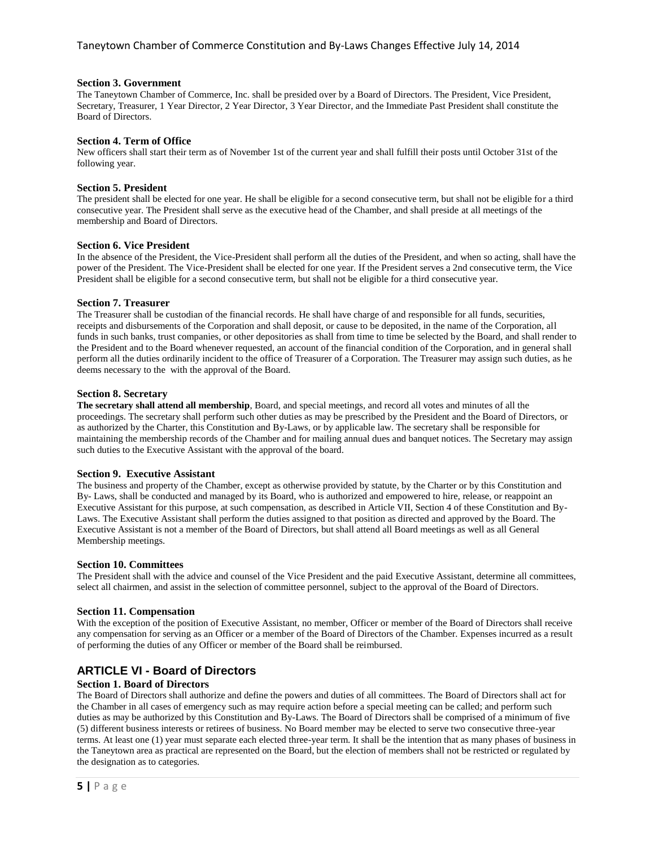#### **Section 3. Government**

The Taneytown Chamber of Commerce, Inc. shall be presided over by a Board of Directors. The President, Vice President, Secretary, Treasurer, 1 Year Director, 2 Year Director, 3 Year Director, and the Immediate Past President shall constitute the Board of Directors.

#### **Section 4. Term of Office**

New officers shall start their term as of November 1st of the current year and shall fulfill their posts until October 31st of the following year.

#### **Section 5. President**

The president shall be elected for one year. He shall be eligible for a second consecutive term, but shall not be eligible for a third consecutive year. The President shall serve as the executive head of the Chamber, and shall preside at all meetings of the membership and Board of Directors.

#### **Section 6. Vice President**

In the absence of the President, the Vice-President shall perform all the duties of the President, and when so acting, shall have the power of the President. The Vice-President shall be elected for one year. If the President serves a 2nd consecutive term, the Vice President shall be eligible for a second consecutive term, but shall not be eligible for a third consecutive year.

#### **Section 7. Treasurer**

The Treasurer shall be custodian of the financial records. He shall have charge of and responsible for all funds, securities, receipts and disbursements of the Corporation and shall deposit, or cause to be deposited, in the name of the Corporation, all funds in such banks, trust companies, or other depositories as shall from time to time be selected by the Board, and shall render to the President and to the Board whenever requested, an account of the financial condition of the Corporation, and in general shall perform all the duties ordinarily incident to the office of Treasurer of a Corporation. The Treasurer may assign such duties, as he deems necessary to the with the approval of the Board.

#### **Section 8. Secretary**

**The secretary shall attend all membership**, Board, and special meetings, and record all votes and minutes of all the proceedings. The secretary shall perform such other duties as may be prescribed by the President and the Board of Directors, or as authorized by the Charter, this Constitution and By-Laws, or by applicable law. The secretary shall be responsible for maintaining the membership records of the Chamber and for mailing annual dues and banquet notices. The Secretary may assign such duties to the Executive Assistant with the approval of the board.

### **Section 9. Executive Assistant**

The business and property of the Chamber, except as otherwise provided by statute, by the Charter or by this Constitution and By- Laws, shall be conducted and managed by its Board, who is authorized and empowered to hire, release, or reappoint an Executive Assistant for this purpose, at such compensation, as described in Article VII, Section 4 of these Constitution and By-Laws. The Executive Assistant shall perform the duties assigned to that position as directed and approved by the Board. The Executive Assistant is not a member of the Board of Directors, but shall attend all Board meetings as well as all General Membership meetings.

#### **Section 10. Committees**

The President shall with the advice and counsel of the Vice President and the paid Executive Assistant, determine all committees, select all chairmen, and assist in the selection of committee personnel, subject to the approval of the Board of Directors.

#### **Section 11. Compensation**

With the exception of the position of Executive Assistant, no member, Officer or member of the Board of Directors shall receive any compensation for serving as an Officer or a member of the Board of Directors of the Chamber. Expenses incurred as a result of performing the duties of any Officer or member of the Board shall be reimbursed.

## **ARTICLE VI - Board of Directors**

#### **Section 1. Board of Directors**

The Board of Directors shall authorize and define the powers and duties of all committees. The Board of Directors shall act for the Chamber in all cases of emergency such as may require action before a special meeting can be called; and perform such duties as may be authorized by this Constitution and By-Laws. The Board of Directors shall be comprised of a minimum of five (5) different business interests or retirees of business. No Board member may be elected to serve two consecutive three-year terms. At least one (1) year must separate each elected three-year term. It shall be the intention that as many phases of business in the Taneytown area as practical are represented on the Board, but the election of members shall not be restricted or regulated by the designation as to categories.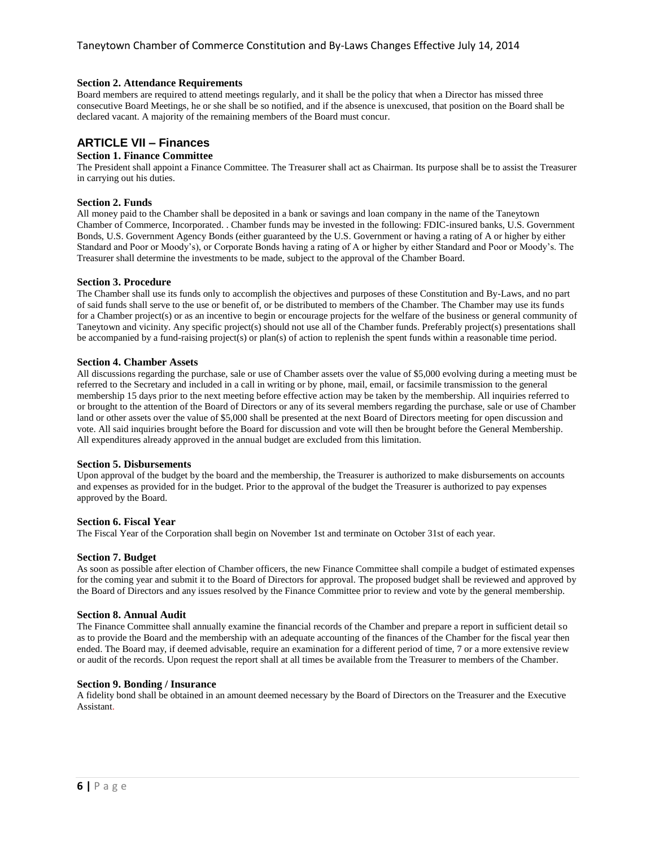### **Section 2. Attendance Requirements**

Board members are required to attend meetings regularly, and it shall be the policy that when a Director has missed three consecutive Board Meetings, he or she shall be so notified, and if the absence is unexcused, that position on the Board shall be declared vacant. A majority of the remaining members of the Board must concur.

## **ARTICLE VII – Finances**

#### **Section 1. Finance Committee**

The President shall appoint a Finance Committee. The Treasurer shall act as Chairman. Its purpose shall be to assist the Treasurer in carrying out his duties.

### **Section 2. Funds**

All money paid to the Chamber shall be deposited in a bank or savings and loan company in the name of the Taneytown Chamber of Commerce, Incorporated. . Chamber funds may be invested in the following: FDIC-insured banks, U.S. Government Bonds, U.S. Government Agency Bonds (either guaranteed by the U.S. Government or having a rating of A or higher by either Standard and Poor or Moody's), or Corporate Bonds having a rating of A or higher by either Standard and Poor or Moody's. The Treasurer shall determine the investments to be made, subject to the approval of the Chamber Board.

#### **Section 3. Procedure**

The Chamber shall use its funds only to accomplish the objectives and purposes of these Constitution and By-Laws, and no part of said funds shall serve to the use or benefit of, or be distributed to members of the Chamber. The Chamber may use its funds for a Chamber project(s) or as an incentive to begin or encourage projects for the welfare of the business or general community of Taneytown and vicinity. Any specific project(s) should not use all of the Chamber funds. Preferably project(s) presentations shall be accompanied by a fund-raising project(s) or plan(s) of action to replenish the spent funds within a reasonable time period.

#### **Section 4. Chamber Assets**

All discussions regarding the purchase, sale or use of Chamber assets over the value of \$5,000 evolving during a meeting must be referred to the Secretary and included in a call in writing or by phone, mail, email, or facsimile transmission to the general membership 15 days prior to the next meeting before effective action may be taken by the membership. All inquiries referred to or brought to the attention of the Board of Directors or any of its several members regarding the purchase, sale or use of Chamber land or other assets over the value of \$5,000 shall be presented at the next Board of Directors meeting for open discussion and vote. All said inquiries brought before the Board for discussion and vote will then be brought before the General Membership. All expenditures already approved in the annual budget are excluded from this limitation.

#### **Section 5. Disbursements**

Upon approval of the budget by the board and the membership, the Treasurer is authorized to make disbursements on accounts and expenses as provided for in the budget. Prior to the approval of the budget the Treasurer is authorized to pay expenses approved by the Board.

#### **Section 6. Fiscal Year**

The Fiscal Year of the Corporation shall begin on November 1st and terminate on October 31st of each year.

#### **Section 7. Budget**

As soon as possible after election of Chamber officers, the new Finance Committee shall compile a budget of estimated expenses for the coming year and submit it to the Board of Directors for approval. The proposed budget shall be reviewed and approved by the Board of Directors and any issues resolved by the Finance Committee prior to review and vote by the general membership.

#### **Section 8. Annual Audit**

The Finance Committee shall annually examine the financial records of the Chamber and prepare a report in sufficient detail so as to provide the Board and the membership with an adequate accounting of the finances of the Chamber for the fiscal year then ended. The Board may, if deemed advisable, require an examination for a different period of time, 7 or a more extensive review or audit of the records. Upon request the report shall at all times be available from the Treasurer to members of the Chamber.

#### **Section 9. Bonding / Insurance**

A fidelity bond shall be obtained in an amount deemed necessary by the Board of Directors on the Treasurer and the Executive Assistant.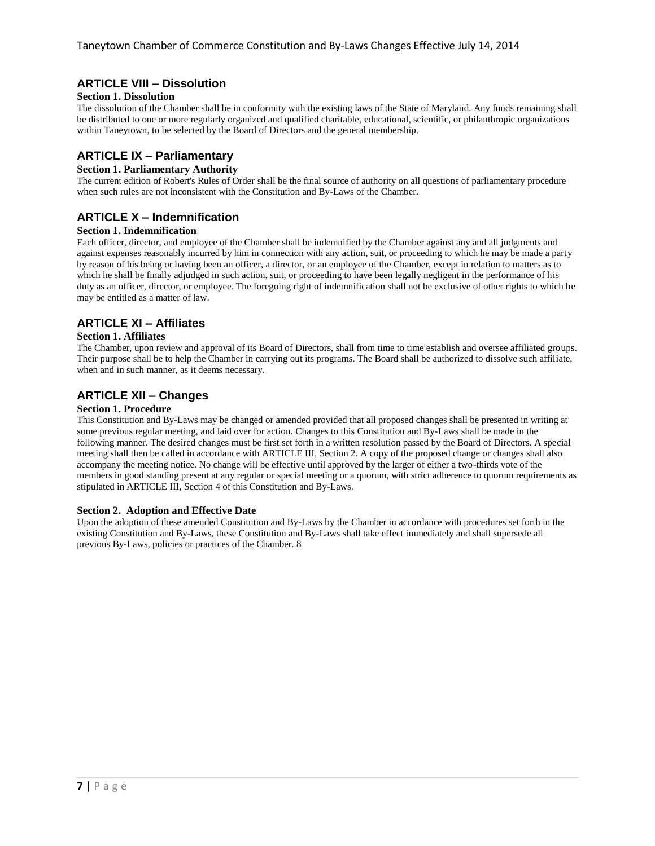## **ARTICLE VIII – Dissolution**

### **Section 1. Dissolution**

The dissolution of the Chamber shall be in conformity with the existing laws of the State of Maryland. Any funds remaining shall be distributed to one or more regularly organized and qualified charitable, educational, scientific, or philanthropic organizations within Taneytown, to be selected by the Board of Directors and the general membership.

## **ARTICLE IX – Parliamentary**

## **Section 1. Parliamentary Authority**

The current edition of Robert's Rules of Order shall be the final source of authority on all questions of parliamentary procedure when such rules are not inconsistent with the Constitution and By-Laws of the Chamber.

## **ARTICLE X – Indemnification**

### **Section 1. Indemnification**

Each officer, director, and employee of the Chamber shall be indemnified by the Chamber against any and all judgments and against expenses reasonably incurred by him in connection with any action, suit, or proceeding to which he may be made a party by reason of his being or having been an officer, a director, or an employee of the Chamber, except in relation to matters as to which he shall be finally adjudged in such action, suit, or proceeding to have been legally negligent in the performance of his duty as an officer, director, or employee. The foregoing right of indemnification shall not be exclusive of other rights to which he may be entitled as a matter of law.

## **ARTICLE XI – Affiliates**

#### **Section 1. Affiliates**

The Chamber, upon review and approval of its Board of Directors, shall from time to time establish and oversee affiliated groups. Their purpose shall be to help the Chamber in carrying out its programs. The Board shall be authorized to dissolve such affiliate, when and in such manner, as it deems necessary.

## **ARTICLE XII – Changes**

#### **Section 1. Procedure**

This Constitution and By-Laws may be changed or amended provided that all proposed changes shall be presented in writing at some previous regular meeting, and laid over for action. Changes to this Constitution and By-Laws shall be made in the following manner. The desired changes must be first set forth in a written resolution passed by the Board of Directors. A special meeting shall then be called in accordance with ARTICLE III, Section 2. A copy of the proposed change or changes shall also accompany the meeting notice. No change will be effective until approved by the larger of either a two-thirds vote of the members in good standing present at any regular or special meeting or a quorum, with strict adherence to quorum requirements as stipulated in ARTICLE III, Section 4 of this Constitution and By-Laws.

## **Section 2. Adoption and Effective Date**

Upon the adoption of these amended Constitution and By-Laws by the Chamber in accordance with procedures set forth in the existing Constitution and By-Laws, these Constitution and By-Laws shall take effect immediately and shall supersede all previous By-Laws, policies or practices of the Chamber. 8